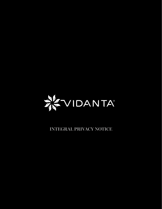

**INTEGRAL PRIVACY NOTICE**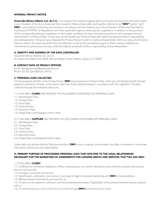### INTEGRAL PRIVACY NOTICE

Desarrollo Marina Vallarta, S.A. de C.V., is a company that markets lodging rights and touristic services from the hotels Grand Luxxe, Kingdom of the Sun y Celebrate Park; located in México (hereinafter and together referred to as "DMV" and/or "we"). DMV is committed to protecting your privacy in accordance with the Federal Law on the Protection of Personal Data held by Individuals (LFPDPPP), its Regulations, and other applicable legal provisions (jointly, Legislation). In addition to the provisions of the corresponding Mexican Legislation on this matter, we follow the best international practices in the management and administration of Personal Data. In any case, we will handle your Personal Data with highest standards of ethics, responsibility, and professionalism. We put at your disposal this Privacy Notice in order to clearly and specifically inform you about the Personal Data we collect, the means by which they are collected, as well as the processing we give to them, always mediating our commitment to protect your privacy, under the highest standards of ethics, responsibility, and professionalism.

# A. IDENTITY AND ADDRESS OF THE DATA CONTROLLER:

Desarrollo Marina Vallarta, S.A. de C.V. Av. Paseo de la Marina Sur, #220, Marina Vallarta, Puerto Vallarta, Jalisco, C.P. 48335.

# B. CONTACT DATA OF PRIVACY OFFICER:

Email: datospersonales@grupovidanta.com Phone: 52 322 226 4000 ext. 64713.

### C. PERSONAL DATA COLLECTED:

For the purposes set forth in this Privacy Notice, DMV may process your Personal Data, which you will directly provide through physical or electronic formats, or by means other than those indicated always in accordance with the Legislation. The Data collected through the indicated means are:

1. IF YOU ARE A CLIENT, WE PROCESS THE FOLLOWING CATEGORIES OF PERSONAL DATA:

- 1.1. Identification Data.
- 1.2. Contact Data.
- 1.3. Fiscal Data.
- 1.4. Financial Data.
- 1.5. Biometrics Data.
- 1.6. Image Data in photograph and/or video.

2. IF YOU ARE A **SUPPLIER**, WE PROCESS THE FOLLOWING CATEGORIES OF PERSONAL DATA:

- 2.1. Identification Data
- 2.2. Contact Data
- 2.3. Fiscal Data
- 2.4. Financial Data
- 2.5. Biometrics Data
- 2.6. Image Data in photograph and/or video.

Under oath, you declare that the Data you provide to **DMV** is true, complete, and accurate. Any false, incomplete, or inaccurate information will be your sole responsibility.

## D. PRIMARY PURPOSE OF PROCESSING PERSONAL DATA THAT GIVE RISE TO THE LEGAL RELATIONSHIP, NECESSARY FOR THE MARKETING OF AGREEMENTS FOR LODGING RIGHTS AND SERVICES THAT YOU ASK DMV:

### 1. IF YOU ARE A CLIENT:

1.1. Fulfillment of contractual obligations. When contacting you, we need to identify you and verify the products and services that we must provide.

- 1.2. Changes in products and services.
- 1.3. Identification, verification, and contact, in any type of legal or business relationship with **DMV** or its subsidiaries.
- 1.4. Billing services and products you buy from us.

1.5. To carry out the payment, collection, and reimbursement processes, if applicable, of the products and services you acquire with us.

1.6. To authenticate your voice at the time of contact through **DMV's** customer service center.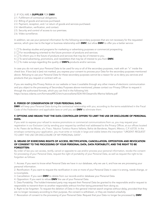### 2. IF YOU ARE A SUPPLIER FOR DMV:

- 2.1. Fulfillment of contractual obligations.
- 2.2. Billing of goods and services purchased.
- 2.3. Payment, reception, and / or return of goods and services purchased.
- 2.4. Identification, verification, and contact.
- 2.5. Security and control of access to our premises.
- 2.6. Video surveillance.

In addition, we use your personal information for the following secondary purposes that are not necessary for the requested service, which give rise to the legal or business relationship with **DMV**, but allow **DMV** to offer you a better service:

1.  $\Box$  To develop studies and programs for marketing or advertising purposes or commercial prospecting.

- $2. \Box$  For recordkeeping oriented to the future provision of products and services.
- $3. \Box$  To inform you in the future of products and services that may be of interest to you.
- 4.  $\Box$  To send advertising, promotions, and newsletters that may be of interest to you from **DMV.**
- 5.  $\Box$  To make surveys regarding the quality of **DMV's** products and/or services.

In case you do not want your Personal Data to be used for any or all of the secondary purposes, mark with an "x" inside the check box. If box (es) is (are) not marked, you express your consent to process your Data for the secondary purposes mentioned above. Refusing to use your Personal Data for these secondary purposes cannot be a reason for us to deny you services and products that you request or contract with us.

If you are reading this Privacy Notice on our website or have it available through any other means of electronic communication and you object to the processing of Secondary Purposes above-mentioned, please contact our Privacy Officer to request it through the authorized formats, which you can find in the following link:

https://avisos.vidanta.com/formatosARCO/en/nuevovallarta/SDA-NV-Desarrollo-Marina-Vallarta.pdf

# E. PERIOD OF CONSERVATION OF YOUR PERSONAL DATA:

DMV will keep your Personal Data during the contractual relationship with you; according to the terms established in the Fiscal Code of the Federation and applicable laws or until you ask **DMV** to eliminate them.

## F. OPTIONS AND MEANS THAT THE DATA CONTROLLER OFFERS TO LIMIT THE USE OR DISCLOSURE OF PERSONAL DATA:

If you wish to express your refusal to receive promotions or commercial communications from us, you may request your registration in our Exclusion List by sending your request by certified mail addressed to the Privacy Officer, at our offices located in Av. Paseo de las Moras, s/n, Fracc. Náutico Turístico Nuevo Vallarta, Bahía de Banderas, Nayarit, México, C.P. 63735. In the envelope containing your application, you must write or include in large and visible letters the inscription "URGENT: REQUEST TO LIMIT THE USE OR DISCLOSURE OF MY PERSONAL DATA".

### G. MEANS OF EXERCISING RIGHTS OF ACCESS, RECTIFICATION, CANCELLATION, OPPOSITION AND REVOCATION OF CONSENT TO THE PROCESSING OF YOUR PERSONAL DATA, DATA PORTABILITY, AND THE RIGHT TO BE FORGOTTEN:

By order of law you can access, rectify, cancel or opposite to use and/or process your personal information, revoke the consent for processing of your Personal Data, request the right of portability of your Personal Data, as well as request the right to be forgotten as follows:

1. Access: If you want to know what Personal Data we have in our database, why we use it, and how we are processing your personal information.

2. Rectification: If you want to request the rectification in one or more of your Personal Data in case it is wrong, needs change, or is incomplete.

- 3. Cancellation: If you want DMV to delete from our records and/or database your Personal Data.
- 4. Opposition: If you want to refuse DMV the use of your Personal Data.
- 5. Data Portability: The holder/interested party may request their Personal Data be granted to the responsible and/or request to responsible to transmit them to another responsible without him/her being prevented from doing so.
- 6. Right to be forgotten: To request the deletion of Data in the general internet search engines without delay, provided that they are no longer necessary according to their purpose, the consent is withdrawn, or they are treated unlawfully.
- 7. Revocation of consent to the processing of your Personal Data: Request that your Data no longer be processed by DMV.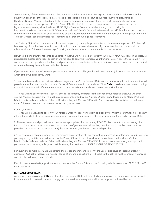To exercise any of the aforementioned rights, you must send your request in writing and by certified mail addressed to the Privacy Officer, at our office located in Av. Paseo de las Moras s/n, Fracc. Náutico Turístico Nuevo Vallarta, Bahía de Banderas, Nayarit, México, C.P. 63735. In the envelope containing your application, you must write or include in large and visible letters the inscription "URGENT: ARCO RIGHTS REQUEST". For the purposes of the foregoing, you or your legal representative may download the "ARCO Rights Exercise Format" available through the following link: https://avisos.vidanta.com/formatosARCO/en/nuevovallarta/SDA-NV-Desarrollo-Marina-Vallarta.pdf , but the request must be sent by certified mail and must be accompanied by the documentation that is indicated in the format, with the purpose that the " Privacy Officer" can authenticate your identity and/or that of your legal representative.

The "Privacy Officer" will communicate the answer to you or your legal representative within a maximum period of 20 (twenty) business days from the date on which the notification of your request takes effect. If your request is appropriate, it will be effective within 15 (fifteen) business days following the date on which you were notified of the response.

However, it is important to take into consideration that we will not be able to satisfy your request for ARCO rights in all cases, as it is possible that for some legal obligation we will have to continue to process your Personal Data. If this is the case, we will let you know the corresponding obligations and proceed, if necessary, to block them for their conservation according to the period of time the law requires until their definitive disposal.

If you exercise your right of access to your Personal Data, we will offer you the following options (please indicate in your request which of the two options you want):

1. Send you by e-mail (or the address indicated in your request) your Personal Data in a declarative way. In that statement we will provide you with a complete list of all your Personal Data we have in our database. What **DMV** considers appropriate according to the Holder, may mark different means to reproduce the information, always in accordance with the law.

1.1. If you wish to see the systems, covers, physical documents, or databases that contain your Personal Data, we will offer you the "right of access in site" through an appointment agreed by our "Privacy Officer" at Av. Paseo de las Moras s/n, Fracc. Náutico Turístico Nuevo Vallarta, Bahía de Banderas, Nayarit, México, C.P. 63735. Such access will be available for no longer than 15 (fifteen) days from the date we respond to your request.

#### During your visit:

1.1.1. You will be allowed to see only your Personal Data. We reserve the right to block any confidential information, proprietary information, industrial secret, bank secrecy, technical secrecy, trade secret, professional secrecy, or third party Personal Data.

2. The mechanisms and procedures so that, where appropriate, the Holder may REVOKE his consent to the processing of his Personal Data. In certain circumstances, the revocation of your consent will imply (i) that the Data Controller can't continue providing the services you requested, or (ii) the conclusion of your business relationship with us:

2.1. By means of a separate sheet, you may request the revocation of your consent for processing your Personal Data by sending your request by certified mail addressed to the Privacy Officer to our offices located at Av. Paseo de las Moras s/n, Fracc. Náutico Turístico Nuevo Vallarta, Bahía de Banderas, Nayarit, México, C.P. 63735. In the envelope containing your application, you must write or include, in large and visible letters, the inscription "URGENT: RIGHT OF REVOCATION".

For questions or more information regarding the procedure or means to (i) limit the use or disclosure of Personal Data, (ii) exercise ARCO rights (access, rectification, cancellation, and opposition), or (iii) exercise the right to revoke consent, we provide you with the following contact details:

E-mail: datospersonales@grupovidanta.com or contact the Privacy Officer at the following telephone number: 52 322 226 4000 Extension 64713.

## H. TRANSFER OF DATA:

As part of a business group, DMV may transfer your Personal Data with affiliated companies of the same group, as well as with independent third parties in order to comply with the services you request and for the purposes indicated below: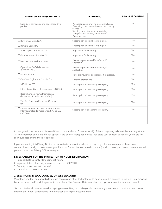| <b>ADDRESSEE OF PERSONAL DATA</b>                                                                               | <b>PURPOSE(S)</b>                                                                                                                                                                                           | <b>REQUIRES CONSENT</b> |
|-----------------------------------------------------------------------------------------------------------------|-------------------------------------------------------------------------------------------------------------------------------------------------------------------------------------------------------------|-------------------------|
| $\Box$ Subsidiary companies and specialized third<br>parties                                                    | Prospecting and profiling potential clients.<br>Evaluating customer satisfaction and quality<br>service.<br>Sending promotions and advertising.<br>Transportation service, if requested.<br>Parcel service. | <b>No</b>               |
| □ Bank of America, N.A.                                                                                         | Subscription to credit card program.                                                                                                                                                                        | Yes                     |
| Barclays Bank PLC.                                                                                              | Subscription to credit card program.                                                                                                                                                                        | Yes                     |
| □ VCM Capital, S.A.P.I. de C.V.                                                                                 | Application for financing.                                                                                                                                                                                  | Yes                     |
| □ GCV Vacations, S.A. de C.V.                                                                                   | Application for financing.                                                                                                                                                                                  | Yes                     |
| $\Box$ Mexican banking institutions                                                                             | Payments process and/or refunds, if<br>applicable.                                                                                                                                                          | No                      |
| □ Operadora PayPal de México,<br>S. de R.L. de C.V.                                                             | Payments process and/or refunds, if<br>applicable.                                                                                                                                                          | Yes                     |
| □ MapfreTech, S.A.                                                                                              | Travelers insurance application, if requested.                                                                                                                                                              | Yes                     |
| □ CareFree Flights MX, S.A. de C.V.                                                                             | Sending promotions.                                                                                                                                                                                         | Yes                     |
| $\Box$ 3RD Home LTD.                                                                                            | Subscription with exchange company.                                                                                                                                                                         | Yes                     |
| □ International Cruise & Excursions, INC (ICE)                                                                  | Subscription with exchange company.                                                                                                                                                                         | Yes                     |
| $\Box$ Resort Condominiums International<br>de México, S. de RL de C.V. (RCI)                                   | Subscription with exchange company.                                                                                                                                                                         | Yes                     |
| $\Box$ The San Francisco Exchange Company<br>(SFX)                                                              | Subscription with exchange company.                                                                                                                                                                         | Yes                     |
| $\Box$ Interval International, INC. / Intercambios<br>Internacionales de Vacaciones, S.A. de C.V.<br>(INTERVAL) | Subscription with exchange company.                                                                                                                                                                         | Yes                     |

In case you do not want your Personal Data to be transferred for some (or all) of these purposes, indicate it by marking with an "x" the checkbox at the left of each option. If the box(es) is(are) not marked, you state your consent to transfer your Data for such purposes and to those recipients.

If you are reading this Privacy Notice on our website or have it available through any other remote means of electronic communication and you do not want your Personal Data to be transferred for some (or all) of these purposes above-mentioned, please contact our Privacy Officer to request it.

# I. MECHANISMS FOR THE PROTECTION OF YOUR INFORMATION:

- 1. Personal Data Security Management System.
- 2. Implementation of security measures based on ISO 27001.
- 3. Security procedures with our staff.
- 4. Limited access to our facilities.

#### J. ELECTRONIC MEDIA, COOKIES, OR WEB BEACONS:

We inform you that on our website we use cookies and other technologies through which it is possible to monitor your browsing behavior based on IP and the places it comes from. The Personal Data we collect through forms are the name and email.

You can disable all cookies, avoid accepting new cookies, and make your browser notify you when you receive a new cookie through the "help" button found in the toolbar existing on most browsers.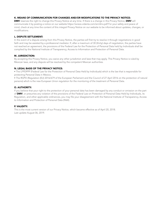# K. MEANS OF COMMUNICATION FOR CHANGES AND/OR MODIFICATIONS TO THE PRIVACY NOTICE:

DMV reserves the right to change this Privacy Notice at any time. If there is a change in this Privacy Notice, DMV will communicate it by posting a notice on our website https://avisos.vidanta.com/en/dmv.pdf For your safety and peace of mind, check at any time the content of this integral Privacy Notice on our website to be informed about updates, changes, or modifications.

# L. DISPUTE SETTLEMENT:

In the event of a dispute arising from this Privacy Notice, the parties will first try to resolve it through negotiations in good faith and may be assisted by a professional mediator. If, after a maximum of 30 (thirty) days of negotiation, the parties have not reached an agreement, the provisions of the Federal Law for the Protection of Personal Data held by Individuals shall be complied by the National Institute of Transparency, Access to Information and Protection of Personal Data.

# M. JURISDICTION:

By accepting this Privacy Notice, you waive any other jurisdiction and laws that may apply. This Privacy Notice is ruled by Mexican laws, and any dispute will be resolved by the competent Mexican authorities.

## N. LEGAL BASIS OF THE PRIVACY NOTICE:

• The LFPDPPP (Federal Law for the Protection of Personal Data Held by Individuals) which is the law that is responsible for protecting Personal Data in Mexico.

• The RGPD (Regulation (EU) 2016/679 of the European Parliament and the Council of 27 April 2016 on the protection of natural persons) which is the new European Union regulation for the monitoring of the treatment of Personal Data.

# O. AUTHORITY:

If you believe that your right to the protection of your personal data has been damaged by any conduct or omission on the part of DMV, or presumes any violation of the provisions of the Federal Law on Protection of Personal Data Held by Individuals, its Regulation, and other applicable ordinances, you may file your disagreement with the National Institute of Transparency, Access to Information and Protection of Personal Data (INAI).

# P. VALIDITY:

This is the most current version of our Privacy Notice, which became effective as of April 20, 2018. Last update August 06, 2019.